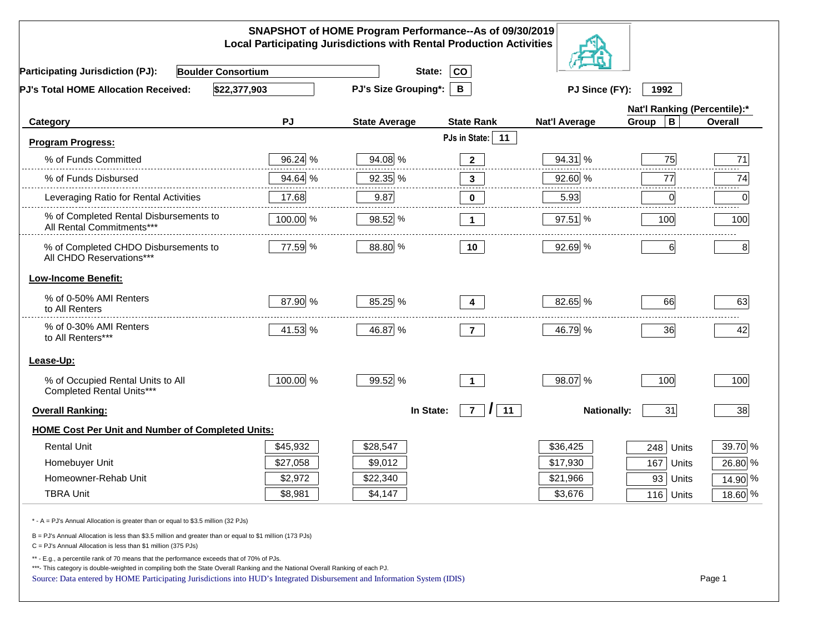| SNAPSHOT of HOME Program Performance--As of 09/30/2019<br><b>Local Participating Jurisdictions with Rental Production Activities</b>                                                                                                                                                                                                                     |                             |                      |                                  |                      |                              |           |  |  |
|----------------------------------------------------------------------------------------------------------------------------------------------------------------------------------------------------------------------------------------------------------------------------------------------------------------------------------------------------------|-----------------------------|----------------------|----------------------------------|----------------------|------------------------------|-----------|--|--|
| <b>Boulder Consortium</b><br><b>Participating Jurisdiction (PJ):</b>                                                                                                                                                                                                                                                                                     |                             | State:               | <b>CO</b>                        |                      |                              |           |  |  |
| \$22,377,903<br>PJ's Total HOME Allocation Received:                                                                                                                                                                                                                                                                                                     | <b>PJ's Size Grouping*:</b> | B                    | PJ Since (FY):<br>1992           |                      |                              |           |  |  |
|                                                                                                                                                                                                                                                                                                                                                          |                             |                      |                                  |                      | Nat'l Ranking (Percentile):* |           |  |  |
| Category                                                                                                                                                                                                                                                                                                                                                 | <b>PJ</b>                   | <b>State Average</b> | <b>State Rank</b>                | <b>Nat'l Average</b> | $\mathbf B$<br>Group         | Overall   |  |  |
| <b>Program Progress:</b>                                                                                                                                                                                                                                                                                                                                 |                             |                      | PJs in State:<br>11              |                      |                              |           |  |  |
| % of Funds Committed                                                                                                                                                                                                                                                                                                                                     | 96.24 %                     | 94.08 %              | $\mathbf{2}$                     | 94.31 %              | 75                           | 71        |  |  |
| % of Funds Disbursed                                                                                                                                                                                                                                                                                                                                     | 94.64 %                     | 92.35 %              | 3                                | 92.60 %              | 77                           | 74        |  |  |
| Leveraging Ratio for Rental Activities                                                                                                                                                                                                                                                                                                                   | 17.68                       | 9.87                 | $\bf{0}$                         | 5.93                 | 0                            | 0         |  |  |
| % of Completed Rental Disbursements to<br>All Rental Commitments***                                                                                                                                                                                                                                                                                      | 100.00 %                    | 98.52 %              | $\mathbf 1$                      | 97.51 %              | 100                          | 100       |  |  |
| % of Completed CHDO Disbursements to<br>All CHDO Reservations***                                                                                                                                                                                                                                                                                         | 77.59 %                     | 88.80 %              | 10                               | 92.69 %              | $6 \mid$                     | 8         |  |  |
| <b>Low-Income Benefit:</b>                                                                                                                                                                                                                                                                                                                               |                             |                      |                                  |                      |                              |           |  |  |
| % of 0-50% AMI Renters<br>to All Renters                                                                                                                                                                                                                                                                                                                 | 87.90 %                     | 85.25 %              | 4                                | 82.65 %              | 66                           | 63        |  |  |
| % of 0-30% AMI Renters<br>to All Renters***                                                                                                                                                                                                                                                                                                              | 41.53 %                     | 46.87 %              | $\overline{7}$                   | 46.79 %              | 36                           | 42        |  |  |
| Lease-Up:                                                                                                                                                                                                                                                                                                                                                |                             |                      |                                  |                      |                              |           |  |  |
| % of Occupied Rental Units to All<br>Completed Rental Units***                                                                                                                                                                                                                                                                                           | 100.00 %                    | 99.52 %              | $\blacktriangleleft$             | 98.07 %              | 100                          | 100       |  |  |
| <b>Overall Ranking:</b>                                                                                                                                                                                                                                                                                                                                  |                             | In State:            | 11<br>$\overline{7}$<br>$\prime$ | <b>Nationally:</b>   | 31                           | 38        |  |  |
| <b>HOME Cost Per Unit and Number of Completed Units:</b>                                                                                                                                                                                                                                                                                                 |                             |                      |                                  |                      |                              |           |  |  |
| <b>Rental Unit</b>                                                                                                                                                                                                                                                                                                                                       | \$45,932                    | \$28,547             |                                  | \$36,425             | 248<br>Units                 | 39.70 %   |  |  |
| Homebuyer Unit                                                                                                                                                                                                                                                                                                                                           | \$27,058                    | \$9,012              |                                  | \$17,930             | 167<br>Units                 | 26.80 %   |  |  |
| Homeowner-Rehab Unit                                                                                                                                                                                                                                                                                                                                     | \$2,972                     | \$22,340             |                                  | \$21,966             | 93 Units                     | 14.90 %   |  |  |
| <b>TBRA Unit</b>                                                                                                                                                                                                                                                                                                                                         | \$8,981                     | \$4,147              |                                  | \$3,676              | 116 Units                    | $18.60\%$ |  |  |
| * - A = PJ's Annual Allocation is greater than or equal to \$3.5 million (32 PJs)                                                                                                                                                                                                                                                                        |                             |                      |                                  |                      |                              |           |  |  |
| B = PJ's Annual Allocation is less than \$3.5 million and greater than or equal to \$1 million (173 PJs)<br>C = PJ's Annual Allocation is less than \$1 million (375 PJs)                                                                                                                                                                                |                             |                      |                                  |                      |                              |           |  |  |
| ** - E.g., a percentile rank of 70 means that the performance exceeds that of 70% of PJs.<br>***- This category is double-weighted in compiling both the State Overall Ranking and the National Overall Ranking of each PJ.<br>Source: Data entered by HOME Participating Jurisdictions into HUD's Integrated Disbursement and Information System (IDIS) |                             |                      |                                  |                      |                              | Page 1    |  |  |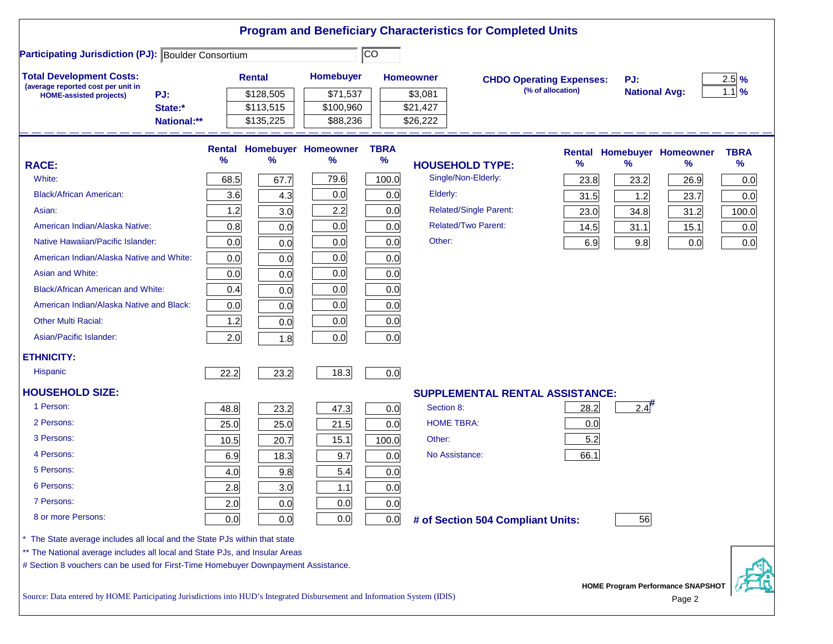|                                                                                                                           |             |      |               |                                   |             |                  | <b>Program and Beneficiary Characteristics for Completed Units</b> |      |                      |                                             |                  |
|---------------------------------------------------------------------------------------------------------------------------|-------------|------|---------------|-----------------------------------|-------------|------------------|--------------------------------------------------------------------|------|----------------------|---------------------------------------------|------------------|
| CO<br><b>Participating Jurisdiction (PJ): Boulder Consortium</b>                                                          |             |      |               |                                   |             |                  |                                                                    |      |                      |                                             |                  |
| <b>Total Development Costs:</b>                                                                                           |             |      | <b>Rental</b> | Homebuyer                         |             | <b>Homeowner</b> | <b>CHDO Operating Expenses:</b>                                    |      | PJ:                  |                                             | $2.5\frac{9}{6}$ |
| (average reported cost per unit in<br><b>HOME-assisted projects)</b>                                                      | PJ:         |      | \$128,505     | \$71,537                          |             | \$3,081          | (% of allocation)                                                  |      | <b>National Avg:</b> |                                             | $1.1\%$          |
|                                                                                                                           | State:*     |      | \$113,515     | \$100,960                         |             | \$21,427         |                                                                    |      |                      |                                             |                  |
|                                                                                                                           | National:** |      | \$135,225     | \$88,236                          |             | \$26,222         |                                                                    |      |                      |                                             |                  |
|                                                                                                                           |             |      |               | <b>Rental Homebuyer Homeowner</b> | <b>TBRA</b> |                  |                                                                    |      |                      | <b>Rental Homebuyer Homeowner</b>           | <b>TBRA</b>      |
| <b>RACE:</b>                                                                                                              |             | %    | %             | %                                 | $\%$        |                  | <b>HOUSEHOLD TYPE:</b>                                             | %    | %                    | %                                           | %                |
| White:                                                                                                                    |             | 68.5 | 67.7          | 79.6                              | 100.0       |                  | Single/Non-Elderly:                                                | 23.8 | 23.2                 | 26.9                                        | 0.0              |
| <b>Black/African American:</b>                                                                                            |             | 3.6  | 4.3           | 0.0                               | 0.0         | Elderly:         |                                                                    | 31.5 | 1.2                  | 23.7                                        | 0.0              |
| Asian:                                                                                                                    |             | 1.2  | 3.0           | 2.2                               | 0.0         |                  | <b>Related/Single Parent:</b>                                      | 23.0 | 34.8                 | 31.2                                        | 100.0            |
| American Indian/Alaska Native:                                                                                            |             | 0.8  | 0.0           | 0.0                               | 0.0         |                  | <b>Related/Two Parent:</b>                                         | 14.5 | 31.1                 | 15.1                                        | 0.0              |
| Native Hawaiian/Pacific Islander:                                                                                         |             | 0.0  | 0.0           | 0.0                               | 0.0         | Other:           |                                                                    | 6.9  | 9.8                  | 0.0                                         | 0.0              |
| American Indian/Alaska Native and White:                                                                                  |             | 0.0  | 0.0           | 0.0                               | 0.0         |                  |                                                                    |      |                      |                                             |                  |
| Asian and White:                                                                                                          |             | 0.0  | 0.0           | 0.0                               | 0.0         |                  |                                                                    |      |                      |                                             |                  |
| <b>Black/African American and White:</b>                                                                                  |             | 0.4  | 0.0           | 0.0                               | 0.0         |                  |                                                                    |      |                      |                                             |                  |
| American Indian/Alaska Native and Black:                                                                                  |             | 0.0  | 0.0           | 0.0                               | 0.0         |                  |                                                                    |      |                      |                                             |                  |
| <b>Other Multi Racial:</b>                                                                                                |             | 1.2  | 0.0           | 0.0                               | 0.0         |                  |                                                                    |      |                      |                                             |                  |
| Asian/Pacific Islander:                                                                                                   |             | 2.0  | 1.8           | 0.0                               | 0.0         |                  |                                                                    |      |                      |                                             |                  |
| <b>ETHNICITY:</b>                                                                                                         |             |      |               |                                   |             |                  |                                                                    |      |                      |                                             |                  |
| <b>Hispanic</b>                                                                                                           |             | 22.2 | 23.2          | 18.3                              | 0.0         |                  |                                                                    |      |                      |                                             |                  |
| <b>HOUSEHOLD SIZE:</b>                                                                                                    |             |      |               |                                   |             |                  | <b>SUPPLEMENTAL RENTAL ASSISTANCE:</b>                             |      |                      |                                             |                  |
| 1 Person:                                                                                                                 |             | 48.8 | 23.2          | 47.3                              | 0.0         | Section 8:       |                                                                    | 28.2 | $2.4^{#}$            |                                             |                  |
| 2 Persons:                                                                                                                |             | 25.0 | 25.0          | 21.5                              | 0.0         |                  | <b>HOME TBRA:</b>                                                  | 0.0  |                      |                                             |                  |
| 3 Persons:                                                                                                                |             | 10.5 | 20.7          | 15.1                              | 100.0       | Other:           |                                                                    | 5.2  |                      |                                             |                  |
| 4 Persons:                                                                                                                |             | 6.9  | 18.3          | 9.7                               | 0.0         |                  | No Assistance:                                                     | 66.1 |                      |                                             |                  |
| 5 Persons:                                                                                                                |             | 4.0  | 9.8           | 5.4                               | 0.0         |                  |                                                                    |      |                      |                                             |                  |
| 6 Persons:                                                                                                                |             | 2.8  | 3.0           | $1.1$                             | 0.0         |                  |                                                                    |      |                      |                                             |                  |
| 7 Persons:                                                                                                                |             | 2.0  | 0.0           | 0.0                               | 0.0         |                  |                                                                    |      |                      |                                             |                  |
| 8 or more Persons:                                                                                                        |             | 0.0  | 0.0           | 0.0                               | 0.0         |                  | # of Section 504 Compliant Units:                                  |      | 56                   |                                             |                  |
| The State average includes all local and the State PJs within that state                                                  |             |      |               |                                   |             |                  |                                                                    |      |                      |                                             |                  |
| ** The National average includes all local and State PJs, and Insular Areas                                               |             |      |               |                                   |             |                  |                                                                    |      |                      |                                             |                  |
| # Section 8 vouchers can be used for First-Time Homebuyer Downpayment Assistance.                                         |             |      |               |                                   |             |                  |                                                                    |      |                      |                                             |                  |
| Source: Data entered by HOME Participating Jurisdictions into HUD's Integrated Disbursement and Information System (IDIS) |             |      |               |                                   |             |                  |                                                                    |      |                      | HOME Program Performance SNAPSHOT<br>Page 2 |                  |